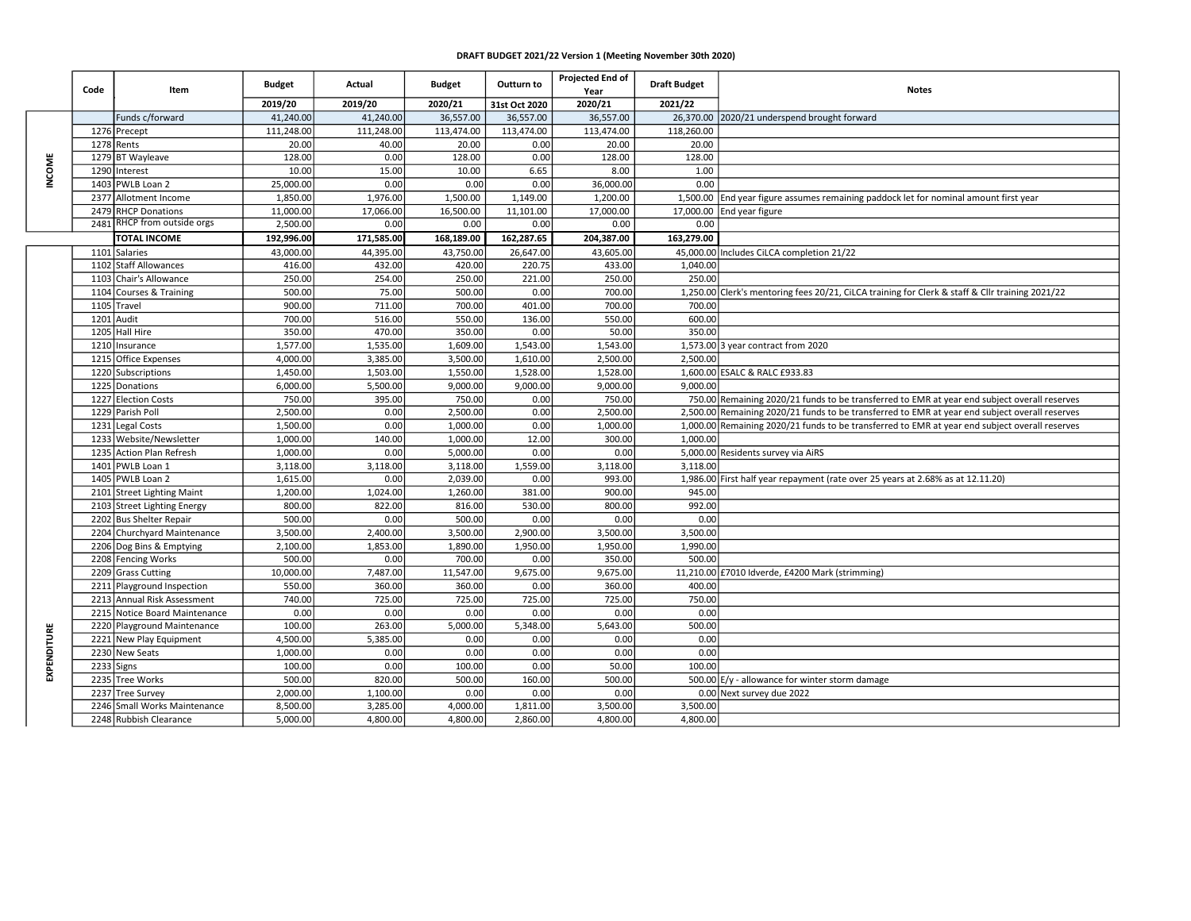## DRAFT BUDGET 2021/22 Version 1 (Meeting November 30th 2020)

| Code         |              | Item                                      | <b>Budget</b>        | Actual           | <b>Budget</b>        | Outturn to       | Projected End of<br>Year | <b>Draft Budget</b> | <b>Notes</b>                                                                                    |
|--------------|--------------|-------------------------------------------|----------------------|------------------|----------------------|------------------|--------------------------|---------------------|-------------------------------------------------------------------------------------------------|
|              |              |                                           | 2019/20              | 2019/20          | 2020/21              | 31st Oct 2020    | 2020/21                  | 2021/22             |                                                                                                 |
| <b>NCOME</b> |              | Funds c/forward                           | 41,240.00            | 41,240.00        | 36,557.00            | 36,557.00        | 36,557.00                |                     | 26,370.00 2020/21 underspend brought forward                                                    |
|              |              | 1276 Precept                              | 111,248.00           | 111,248.00       | 113,474.00           | 113,474.00       | 113,474.00               | 118,260.00          |                                                                                                 |
|              | 1278         | Rents                                     | 20.00                | 40.00            | 20.00                | 0.00             | 20.00                    | 20.00               |                                                                                                 |
|              |              | 1279 BT Wayleave                          | 128.00               | 0.00             | 128.00               | 0.00             | 128.00                   | 128.00              |                                                                                                 |
|              | 1290         | Interest                                  | 10.00                | 15.00            | 10.00                | 6.65             | 8.00                     | 1.00                |                                                                                                 |
|              | 1403         | PWLB Loan 2                               | 25,000.00            | 0.00             | 0.00                 | 0.00             | 36,000.00                | 0.00                |                                                                                                 |
|              | 2377         | Allotment Income                          | 1,850.00             | 1,976.00         | 1,500.00             | 1,149.00         | 1,200.00                 |                     | 1,500.00 End year figure assumes remaining paddock let for nominal amount first year            |
|              | 2479         | <b>RHCP Donations</b>                     | 11.000.00            | 17,066.00        | 16,500.00            | 11,101.00        | 17,000.00                |                     | 17,000.00 End year figure                                                                       |
|              | 2481         | RHCP from outside orgs                    | 2,500.00             | 0.00             | 0.00                 | 0.00             | 0.00                     | 0.00                |                                                                                                 |
|              |              | <b>TOTAL INCOME</b>                       | 192,996.00           | 171,585.00       | 168,189.00           | 162,287.65       | 204,387.00               | 163,279.00          |                                                                                                 |
|              | 1101         | <b>Salaries</b>                           | 43,000.00            | 44,395.00        | 43,750.00            | 26,647.00        | 43,605.00                |                     | 45,000.00 Includes CiLCA completion 21/22                                                       |
|              |              | 1102 Staff Allowances                     | 416.00               | 432.00           | 420.00               | 220.75           | 433.00                   | 1,040.00            |                                                                                                 |
|              | 1103         | Chair's Allowance                         | 250.00               | 254.00           | 250.00               | 221.00           | 250.00                   | 250.00              |                                                                                                 |
|              |              | 1104 Courses & Training                   | 500.00               | 75.00            | 500.00               | 0.00             | 700.00                   |                     | 1,250.00 Clerk's mentoring fees 20/21, CiLCA training for Clerk & staff & ClIr training 2021/22 |
|              | 1105         | Travel                                    | 900.00               | 711.00           | 700.00               | 401.00           | 700.00                   | 700.00              |                                                                                                 |
|              | 1201         | Audit                                     | 700.00               | 516.00           | 550.00               | 136.00           | 550.00                   | 600.00              |                                                                                                 |
|              | 1205         | Hall Hire                                 | 350.00               | 470.00           | 350.00               | 0.00             | 50.00                    | 350.00              |                                                                                                 |
|              | 1210         | Insurance                                 | 1,577.00             | 1,535.00         | 1,609.00             | 1,543.00         | 1,543.00                 |                     | 1,573.00 3 year contract from 2020                                                              |
|              |              | 1215 Office Expenses                      | 4,000.00             | 3,385.00         | 3,500.00             | 1,610.00         | 2,500.00                 | 2.500.00            |                                                                                                 |
|              |              | 1220 Subscriptions                        | 1,450.00             | 1,503.00         | 1,550.00             | 1,528.00         | 1,528.00                 |                     | 1,600.00 ESALC & RALC £933.83                                                                   |
|              |              | 1225 Donations                            | 6,000.00             | 5,500.00         | 9,000.00             | 9,000.00         | 9,000.00                 | 9,000.00            |                                                                                                 |
|              |              | 1227 Election Costs                       | 750.00               | 395.00           | 750.00               | 0.00             | 750.00                   |                     | 750.00 Remaining 2020/21 funds to be transferred to EMR at year end subject overall reserves    |
|              |              | 1229 Parish Poll                          | 2,500.00             | 0.00             | 2,500.00             | 0.00             | 2,500.00                 |                     | 2,500.00 Remaining 2020/21 funds to be transferred to EMR at year end subject overall reserves  |
|              | 1231         | <b>Legal Costs</b>                        | 1,500.00             | 0.00             | 1,000.00             | 0.00             | 1,000.00                 |                     | 1,000.00 Remaining 2020/21 funds to be transferred to EMR at year end subject overall reserves  |
|              |              | 1233 Website/Newsletter                   | 1,000.00             | 140.00           | 1,000.00             | 12.00            | 300.00                   | 1,000.00            |                                                                                                 |
|              | 1235<br>1401 | <b>Action Plan Refresh</b><br>PWLB Loan 1 | 1,000.00             | 0.00             | 5,000.00<br>3,118.00 | 0.00<br>1,559.00 | 0.00                     | 3,118.00            | 5,000.00 Residents survey via AiRS                                                              |
|              |              | 1405 PWLB Loan 2                          | 3,118.00<br>1,615.00 | 3,118.00<br>0.00 | 2,039.00             | 0.00             | 3,118.00<br>993.00       |                     | 1,986.00 First half year repayment (rate over 25 years at 2.68% as at 12.11.20)                 |
|              | 2101         | <b>Street Lighting Maint</b>              | 1.200.00             | 1,024.00         | 1.260.00             | 381.00           | 900.00                   | 945.00              |                                                                                                 |
|              | 2103         | <b>Street Lighting Energy</b>             | 800.00               | 822.00           | 816.00               | 530.00           | 800.00                   | 992.00              |                                                                                                 |
|              |              | 2202 Bus Shelter Repair                   | 500.00               | 0.00             | 500.00               | 0.00             | 0.00                     | 0.00                |                                                                                                 |
|              |              | 2204 Churchyard Maintenance               | 3,500.00             | 2,400.00         | 3,500.00             | 2,900.00         | 3,500.00                 | 3,500.00            |                                                                                                 |
|              |              | 2206 Dog Bins & Emptying                  | 2,100.00             | 1,853.00         | 1,890.00             | 1,950.00         | 1,950.00                 | 1,990.00            |                                                                                                 |
|              |              | 2208 Fencing Works                        | 500.00               | 0.00             | 700.00               | 0.00             | 350.00                   | 500.00              |                                                                                                 |
|              |              | 2209 Grass Cutting                        | 10,000.00            | 7,487.00         | 11,547.00            | 9,675.00         | 9,675.00                 |                     | 11,210.00 £7010 Idverde, £4200 Mark (strimming)                                                 |
|              |              | 2211 Playground Inspection                | 550.00               | 360.00           | 360.00               | 0.00             | 360.00                   | 400.00              |                                                                                                 |
|              |              | 2213 Annual Risk Assessment               | 740.00               | 725.00           | 725.00               | 725.00           | 725.00                   | 750.00              |                                                                                                 |
| EXPENDITURE  | 2215         | Notice Board Maintenance                  | 0.00                 | 0.00             | 0.00                 | 0.00             | 0.00                     | 0.00                |                                                                                                 |
|              |              | 2220 Playground Maintenance               | 100.00               | 263.00           | 5,000.00             | 5,348.00         | 5,643.00                 | 500.00              |                                                                                                 |
|              | 2221         | New Play Equipment                        | 4,500.00             | 5,385.00         | 0.00                 | 0.00             | 0.00                     | 0.00                |                                                                                                 |
|              |              | 2230 New Seats                            | 1,000.00             | 0.00             | 0.00                 | 0.00             | 0.00                     | 0.00                |                                                                                                 |
|              | 2233         | Signs                                     | 100.00               | 0.00             | 100.00               | 0.00             | 50.00                    | 100.00              |                                                                                                 |
|              | 2235         | <b>Tree Works</b>                         | 500.00               | 820.00           | 500.00               | 160.00           | 500.00                   |                     | 500.00 E/y - allowance for winter storm damage                                                  |
|              | 2237         | <b>Tree Survey</b>                        | 2,000.00             | 1,100.00         | 0.00                 | 0.00             | 0.00                     |                     | 0.00 Next survey due 2022                                                                       |
|              |              | 2246 Small Works Maintenance              | 8,500.00             | 3,285.00         | 4,000.00             | 1,811.00         | 3,500.00                 | 3,500.00            |                                                                                                 |
|              |              | 2248 Rubbish Clearance                    | 5,000.00             | 4,800.00         | 4,800.00             | 2,860.00         | 4,800.00                 | 4,800.00            |                                                                                                 |
|              |              |                                           |                      |                  |                      |                  |                          |                     |                                                                                                 |